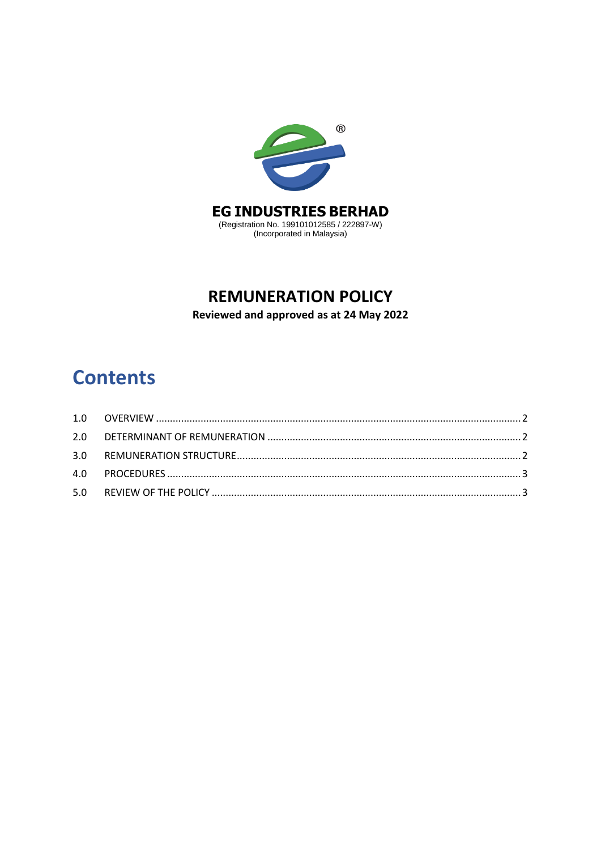

## **REMUNERATION POLICY**

Reviewed and approved as at 24 May 2022

# **Contents**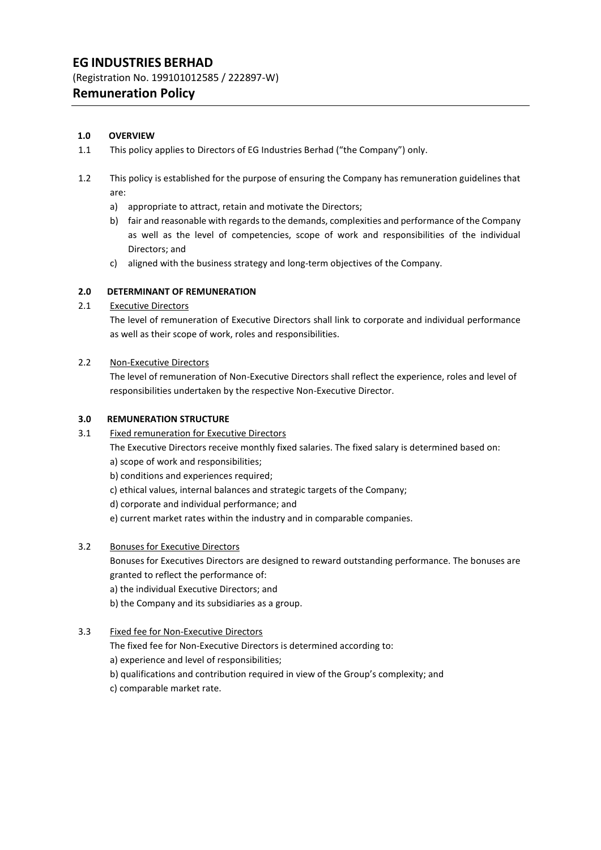## **EG INDUSTRIES BERHAD**

(Registration No. 199101012585 / 222897-W)

## **Remuneration Policy**

#### <span id="page-1-0"></span>**1.0 OVERVIEW**

- 1.1 This policy applies to Directors of EG Industries Berhad ("the Company") only.
- 1.2 This policy is established for the purpose of ensuring the Company has remuneration guidelines that are:
	- a) appropriate to attract, retain and motivate the Directors;
	- b) fair and reasonable with regardsto the demands, complexities and performance of the Company as well as the level of competencies, scope of work and responsibilities of the individual Directors; and
	- c) aligned with the business strategy and long-term objectives of the Company.

#### <span id="page-1-1"></span>**2.0 DETERMINANT OF REMUNERATION**

#### 2.1 Executive Directors

The level of remuneration of Executive Directors shall link to corporate and individual performance as well as their scope of work, roles and responsibilities.

#### 2.2 Non-Executive Directors

The level of remuneration of Non-Executive Directors shall reflect the experience, roles and level of responsibilities undertaken by the respective Non-Executive Director.

#### <span id="page-1-2"></span>**3.0 REMUNERATION STRUCTURE**

3.1 Fixed remuneration for Executive Directors

The Executive Directors receive monthly fixed salaries. The fixed salary is determined based on:

- a) scope of work and responsibilities;
- b) conditions and experiences required;
- c) ethical values, internal balances and strategic targets of the Company;
- d) corporate and individual performance; and

e) current market rates within the industry and in comparable companies.

#### 3.2 Bonuses for Executive Directors

Bonuses for Executives Directors are designed to reward outstanding performance. The bonuses are granted to reflect the performance of:

a) the individual Executive Directors; and

b) the Company and its subsidiaries as a group.

#### 3.3 Fixed fee for Non-Executive Directors

The fixed fee for Non-Executive Directors is determined according to:

a) experience and level of responsibilities;

b) qualifications and contribution required in view of the Group's complexity; and

c) comparable market rate.